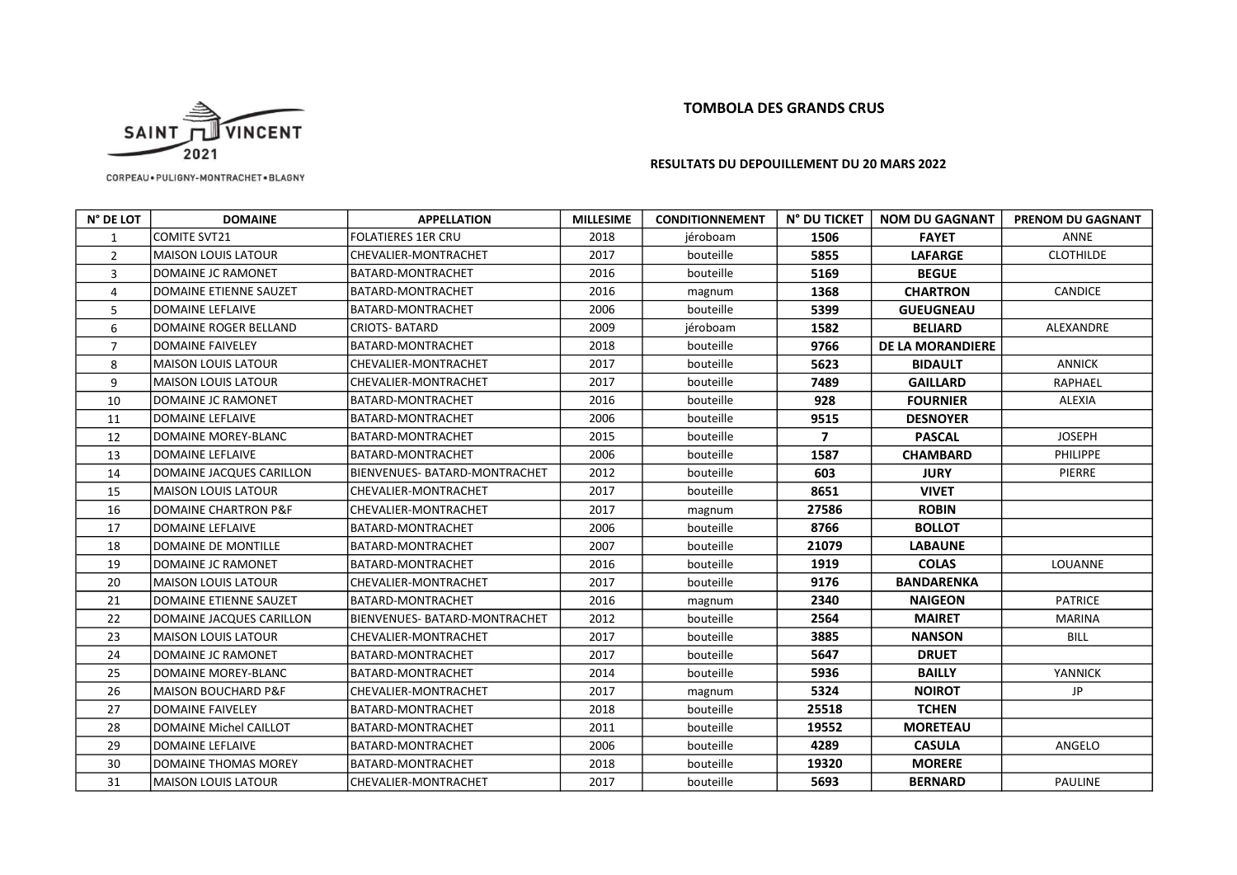## TOMBOLA DES GRANDS CRUS



CORPEAU . PULIGNY-MONTRACHET . BLAGNY

## RESULTATS DU DEPOUILLEMENT DU 20 MARS 2022

| N° DE LOT      | <b>DOMAINE</b>             | <b>APPELLATION</b>            | <b>MILLESIME</b> | <b>CONDITIONNEMENT</b> | N° DU TICKET   | <b>NOM DU GAGNANT</b>   | <b>PRENOM DU GAGNANT</b> |
|----------------|----------------------------|-------------------------------|------------------|------------------------|----------------|-------------------------|--------------------------|
| 1              | COMITE SVT21               | <b>FOLATIERES 1ER CRU</b>     | 2018             | jéroboam               | 1506           | <b>FAYET</b>            | <b>ANNE</b>              |
| $\overline{2}$ | lMAISON LOUIS LATOUR       | CHEVALIER-MONTRACHET          | 2017             | bouteille              | 5855           | <b>LAFARGE</b>          | <b>CLOTHILDE</b>         |
| 3              | IDOMAINE JC RAMONET        | BATARD-MONTRACHET             | 2016             | bouteille              | 5169           | <b>BEGUE</b>            |                          |
| $\overline{4}$ | DOMAINE ETIENNE SAUZET     | BATARD-MONTRACHET             | 2016             | magnum                 | 1368           | <b>CHARTRON</b>         | CANDICE                  |
| 5              | DOMAINE LEFLAIVE           | BATARD-MONTRACHET             | 2006             | bouteille              | 5399           | <b>GUEUGNEAU</b>        |                          |
| 6              | DOMAINE ROGER BELLAND      | CRIOTS- BATARD                | 2009             | jéroboam               | 1582           | <b>BELIARD</b>          | ALEXANDRE                |
| $\overline{7}$ | <b>DOMAINE FAIVELEY</b>    | BATARD-MONTRACHET             | 2018             | bouteille              | 9766           | <b>DE LA MORANDIERE</b> |                          |
| 8              | IMAISON LOUIS LATOUR       | CHEVALIER-MONTRACHET          | 2017             | bouteille              | 5623           | <b>BIDAULT</b>          | <b>ANNICK</b>            |
| 9              | <b>MAISON LOUIS LATOUR</b> | CHEVALIER-MONTRACHET          | 2017             | bouteille              | 7489           | <b>GAILLARD</b>         | RAPHAEL                  |
| 10             | DOMAINE JC RAMONET         | BATARD-MONTRACHET             | 2016             | bouteille              | 928            | <b>FOURNIER</b>         | ALEXIA                   |
| 11             | <b>DOMAINE LEFLAIVE</b>    | BATARD-MONTRACHET             | 2006             | bouteille              | 9515           | <b>DESNOYER</b>         |                          |
| 12             | DOMAINE MOREY-BLANC        | BATARD-MONTRACHET             | 2015             | bouteille              | $\overline{ }$ | <b>PASCAL</b>           | <b>JOSEPH</b>            |
| 13             | <b>DOMAINE LEFLAIVE</b>    | BATARD-MONTRACHET             | 2006             | bouteille              | 1587           | <b>CHAMBARD</b>         | PHILIPPE                 |
| 14             | DOMAINE JACQUES CARILLON   | BIENVENUES- BATARD-MONTRACHET | 2012             | bouteille              | 603            | <b>JURY</b>             | PIERRE                   |
| 15             | MAISON LOUIS LATOUR        | CHEVALIER-MONTRACHET          | 2017             | bouteille              | 8651           | <b>VIVET</b>            |                          |
| 16             | DOMAINE CHARTRON P&F       | CHEVALIER-MONTRACHET          | 2017             | magnum                 | 27586          | <b>ROBIN</b>            |                          |
| 17             | IDOMAINE LEFLAIVE          | IBATARD-MONTRACHET            | 2006             | bouteille              | 8766           | <b>BOLLOT</b>           |                          |
| 18             | DOMAINE DE MONTILLE        | BATARD-MONTRACHET             | 2007             | bouteille              | 21079          | <b>LABAUNE</b>          |                          |
| 19             | IDOMAINE JC RAMONET        | BATARD-MONTRACHET             | 2016             | bouteille              | 1919           | <b>COLAS</b>            | <b>LOUANNE</b>           |
| 20             | lMAISON LOUIS LATOUR       | CHEVALIER-MONTRACHET          | 2017             | bouteille              | 9176           | <b>BANDARENKA</b>       |                          |
| 21             | DOMAINE ETIENNE SAUZET     | BATARD-MONTRACHET             | 2016             | magnum                 | 2340           | <b>NAIGEON</b>          | <b>PATRICE</b>           |
| 22             | DOMAINE JACQUES CARILLON   | BIENVENUES- BATARD-MONTRACHET | 2012             | bouteille              | 2564           | <b>MAIRET</b>           | <b>MARINA</b>            |
| 23             | IMAISON LOUIS LATOUR       | CHEVALIER-MONTRACHET          | 2017             | bouteille              | 3885           | <b>NANSON</b>           | <b>BILL</b>              |
| 24             | DOMAINE JC RAMONET         | BATARD-MONTRACHET             | 2017             | bouteille              | 5647           | <b>DRUET</b>            |                          |
| 25             | IDOMAINE MOREY-BLANC       | BATARD-MONTRACHET             | 2014             | bouteille              | 5936           | <b>BAILLY</b>           | YANNICK                  |
| 26             | IMAISON BOUCHARD P&F       | CHEVALIER-MONTRACHET          | 2017             | magnum                 | 5324           | <b>NOIROT</b>           | JP.                      |
| 27             | <b>DOMAINE FAIVELEY</b>    | BATARD-MONTRACHET             | 2018             | bouteille              | 25518          | <b>TCHEN</b>            |                          |
| 28             | DOMAINE Michel CAILLOT     | BATARD-MONTRACHET             | 2011             | bouteille              | 19552          | <b>MORETEAU</b>         |                          |
| 29             | IDOMAINE LEFLAIVE          | <b>BATARD-MONTRACHET</b>      | 2006             | bouteille              | 4289           | <b>CASULA</b>           | ANGELO                   |
| 30             | DOMAINE THOMAS MOREY       | BATARD-MONTRACHET             | 2018             | bouteille              | 19320          | <b>MORERE</b>           |                          |
| 31             | MAISON LOUIS LATOUR        | CHEVALIER-MONTRACHET          | 2017             | bouteille              | 5693           | <b>BERNARD</b>          | <b>PAULINE</b>           |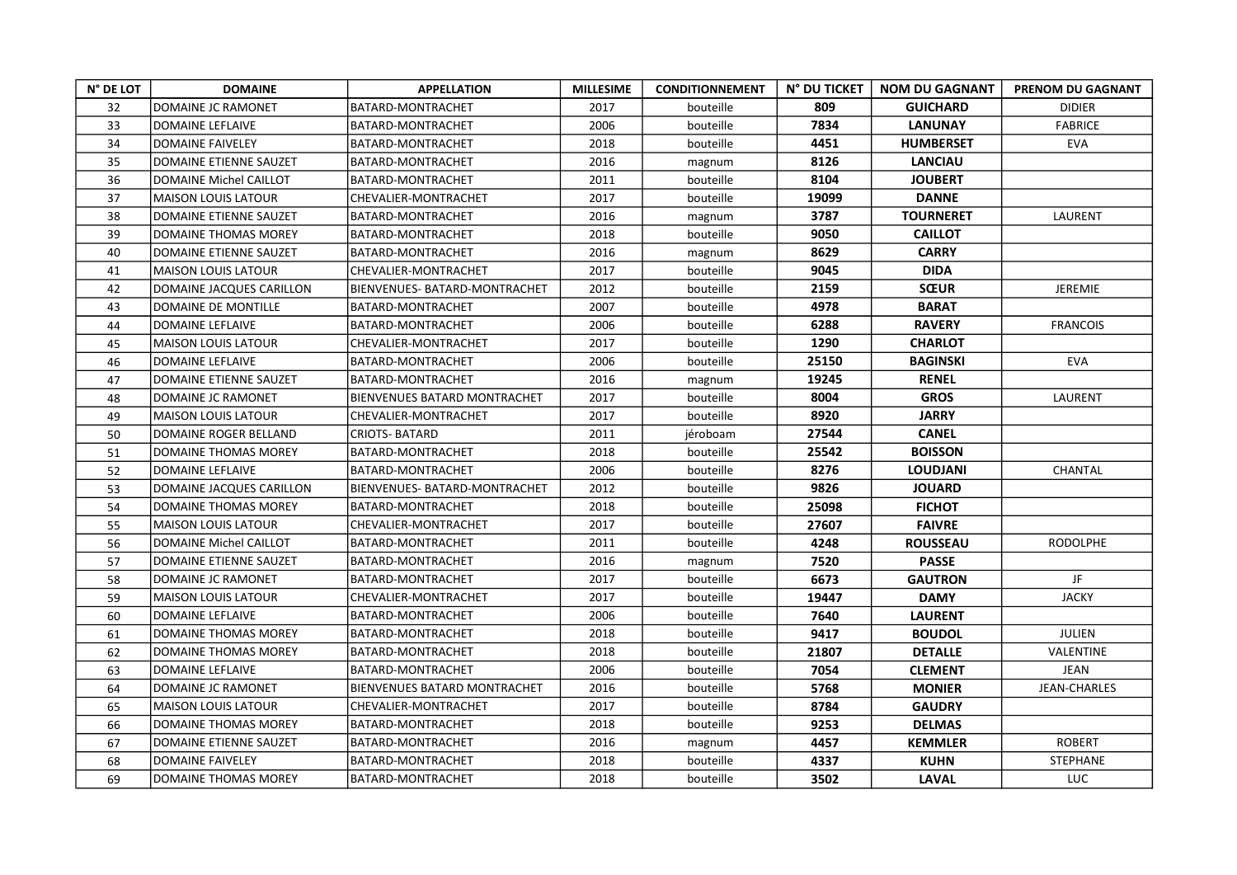| N° DE LOT | <b>DOMAINE</b>             | <b>APPELLATION</b>            | <b>MILLESIME</b> | <b>CONDITIONNEMENT</b> | N° DU TICKET | <b>NOM DU GAGNANT</b> | PRENOM DU GAGNANT   |
|-----------|----------------------------|-------------------------------|------------------|------------------------|--------------|-----------------------|---------------------|
| 32        | DOMAINE JC RAMONET         | BATARD-MONTRACHET             | 2017             | bouteille              | 809          | <b>GUICHARD</b>       | <b>DIDIER</b>       |
| 33        | <b>DOMAINE LEFLAIVE</b>    | BATARD-MONTRACHET             | 2006             | bouteille              | 7834         | <b>LANUNAY</b>        | <b>FABRICE</b>      |
| 34        | <b>DOMAINE FAIVELEY</b>    | BATARD-MONTRACHET             | 2018             | bouteille              | 4451         | <b>HUMBERSET</b>      | <b>EVA</b>          |
| 35        | DOMAINE ETIENNE SAUZET     | BATARD-MONTRACHET             | 2016             | magnum                 | 8126         | <b>LANCIAU</b>        |                     |
| 36        | DOMAINE Michel CAILLOT     | BATARD-MONTRACHET             | 2011             | bouteille              | 8104         | <b>JOUBERT</b>        |                     |
| 37        | <b>MAISON LOUIS LATOUR</b> | CHEVALIER-MONTRACHET          | 2017             | bouteille              | 19099        | <b>DANNE</b>          |                     |
| 38        | DOMAINE ETIENNE SAUZET     | BATARD-MONTRACHET             | 2016             | magnum                 | 3787         | <b>TOURNERET</b>      | LAURENT             |
| 39        | DOMAINE THOMAS MOREY       | BATARD-MONTRACHET             | 2018             | bouteille              | 9050         | <b>CAILLOT</b>        |                     |
| 40        | DOMAINE ETIENNE SAUZET     | BATARD-MONTRACHET             | 2016             | magnum                 | 8629         | <b>CARRY</b>          |                     |
| 41        | <b>MAISON LOUIS LATOUR</b> | CHEVALIER-MONTRACHET          | 2017             | bouteille              | 9045         | <b>DIDA</b>           |                     |
| 42        | DOMAINE JACQUES CARILLON   | BIENVENUES- BATARD-MONTRACHET | 2012             | bouteille              | 2159         | <b>SŒUR</b>           | <b>JEREMIE</b>      |
| 43        | DOMAINE DE MONTILLE        | BATARD-MONTRACHET             | 2007             | bouteille              | 4978         | <b>BARAT</b>          |                     |
| 44        | DOMAINE LEFLAIVE           | BATARD-MONTRACHET             | 2006             | bouteille              | 6288         | <b>RAVERY</b>         | <b>FRANCOIS</b>     |
| 45        | <b>MAISON LOUIS LATOUR</b> | CHEVALIER-MONTRACHET          | 2017             | bouteille              | 1290         | <b>CHARLOT</b>        |                     |
| 46        | DOMAINE LEFLAIVE           | BATARD-MONTRACHET             | 2006             | bouteille              | 25150        | <b>BAGINSKI</b>       | <b>EVA</b>          |
| 47        | DOMAINE ETIENNE SAUZET     | <b>BATARD-MONTRACHET</b>      | 2016             | magnum                 | 19245        | <b>RENEL</b>          |                     |
| 48        | DOMAINE JC RAMONET         | BIENVENUES BATARD MONTRACHET  | 2017             | bouteille              | 8004         | <b>GROS</b>           | LAURENT             |
| 49        | <b>MAISON LOUIS LATOUR</b> | CHEVALIER-MONTRACHET          | 2017             | bouteille              | 8920         | <b>JARRY</b>          |                     |
| 50        | DOMAINE ROGER BELLAND      | <b>CRIOTS-BATARD</b>          | 2011             | jéroboam               | 27544        | <b>CANEL</b>          |                     |
| 51        | DOMAINE THOMAS MOREY       | BATARD-MONTRACHET             | 2018             | bouteille              | 25542        | <b>BOISSON</b>        |                     |
| 52        | DOMAINE LEFLAIVE           | BATARD-MONTRACHET             | 2006             | bouteille              | 8276         | <b>LOUDJANI</b>       | CHANTAL             |
| 53        | DOMAINE JACQUES CARILLON   | BIENVENUES- BATARD-MONTRACHET | 2012             | bouteille              | 9826         | <b>JOUARD</b>         |                     |
| 54        | DOMAINE THOMAS MOREY       | BATARD-MONTRACHET             | 2018             | bouteille              | 25098        | <b>FICHOT</b>         |                     |
| 55        | <b>MAISON LOUIS LATOUR</b> | CHEVALIER-MONTRACHET          | 2017             | bouteille              | 27607        | <b>FAIVRE</b>         |                     |
| 56        | DOMAINE Michel CAILLOT     | BATARD-MONTRACHET             | 2011             | bouteille              | 4248         | <b>ROUSSEAU</b>       | <b>RODOLPHE</b>     |
| 57        | DOMAINE ETIENNE SAUZET     | BATARD-MONTRACHET             | 2016             | magnum                 | 7520         | <b>PASSE</b>          |                     |
| 58        | DOMAINE JC RAMONET         | BATARD-MONTRACHET             | 2017             | bouteille              | 6673         | <b>GAUTRON</b>        | JF                  |
| 59        | <b>MAISON LOUIS LATOUR</b> | CHEVALIER-MONTRACHET          | 2017             | bouteille              | 19447        | <b>DAMY</b>           | <b>JACKY</b>        |
| 60        | DOMAINE LEFLAIVE           | BATARD-MONTRACHET             | 2006             | bouteille              | 7640         | <b>LAURENT</b>        |                     |
| 61        | DOMAINE THOMAS MOREY       | BATARD-MONTRACHET             | 2018             | bouteille              | 9417         | <b>BOUDOL</b>         | JULIEN              |
| 62        | DOMAINE THOMAS MOREY       | BATARD-MONTRACHET             | 2018             | bouteille              | 21807        | <b>DETALLE</b>        | VALENTINE           |
| 63        | DOMAINE LEFLAIVE           | BATARD-MONTRACHET             | 2006             | bouteille              | 7054         | <b>CLEMENT</b>        | JEAN                |
| 64        | DOMAINE JC RAMONET         | BIENVENUES BATARD MONTRACHET  | 2016             | bouteille              | 5768         | <b>MONIER</b>         | <b>JEAN-CHARLES</b> |
| 65        | <b>MAISON LOUIS LATOUR</b> | CHEVALIER-MONTRACHET          | 2017             | bouteille              | 8784         | <b>GAUDRY</b>         |                     |
| 66        | DOMAINE THOMAS MOREY       | BATARD-MONTRACHET             | 2018             | bouteille              | 9253         | <b>DELMAS</b>         |                     |
| 67        | DOMAINE ETIENNE SAUZET     | BATARD-MONTRACHET             | 2016             | magnum                 | 4457         | <b>KEMMLER</b>        | <b>ROBERT</b>       |
| 68        | <b>DOMAINE FAIVELEY</b>    | BATARD-MONTRACHET             | 2018             | bouteille              | 4337         | <b>KUHN</b>           | <b>STEPHANE</b>     |
| 69        | DOMAINE THOMAS MOREY       | BATARD-MONTRACHET             | 2018             | bouteille              | 3502         | <b>LAVAL</b>          | <b>LUC</b>          |